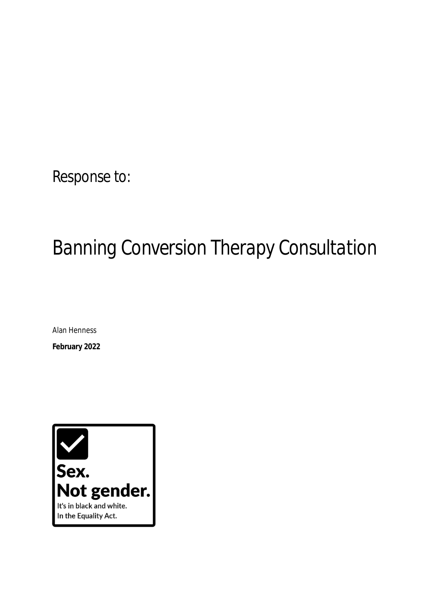# Response to:

# *Banning Conversion Therapy Consultation*

Alan Henness

**February 2022** 

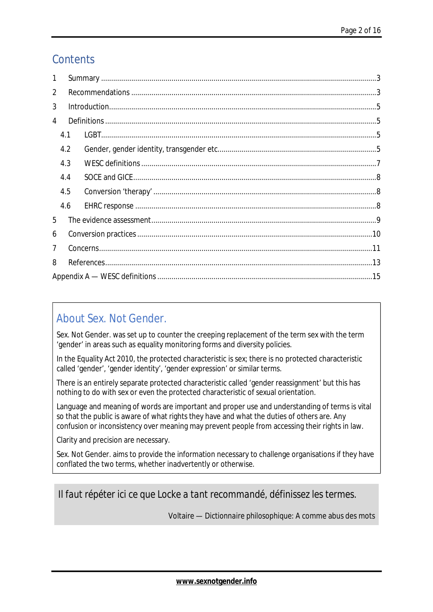### **Contents**

| 1           |     |  |  |  |  |
|-------------|-----|--|--|--|--|
| $\mathbf 2$ |     |  |  |  |  |
| 3           |     |  |  |  |  |
| 4           |     |  |  |  |  |
|             | 4.1 |  |  |  |  |
|             | 4.2 |  |  |  |  |
|             | 4.3 |  |  |  |  |
|             | 4.4 |  |  |  |  |
|             | 4.5 |  |  |  |  |
|             | 4.6 |  |  |  |  |
| 5           |     |  |  |  |  |
| 6           |     |  |  |  |  |
| 7           |     |  |  |  |  |
| 8           |     |  |  |  |  |
|             |     |  |  |  |  |

### About Sex. Not Gender.

Sex. Not Gender. was set up to counter the creeping replacement of the term sex with the term 'gender' in areas such as equality monitoring forms and diversity policies.

In the Equality Act 2010, the protected characteristic is sex; there is no protected characteristic called 'gender', 'gender identity', 'gender expression' or similar terms.

There is an entirely separate protected characteristic called 'gender reassignment' but this has nothing to do with sex or even the protected characteristic of sexual orientation.

Language and meaning of words are important and proper use and understanding of terms is vital so that the public is aware of what rights they have and what the duties of others are. Any confusion or inconsistency over meaning may prevent people from accessing their rights in law.

Clarity and precision are necessary.

Sex. Not Gender. aims to provide the information necessary to challenge organisations if they have conflated the two terms, whether inadvertently or otherwise.

*Il faut répéter ici ce que Locke a tant recommandé, définissez les termes.* 

Voltaire — *Dictionnaire philosophique*: A comme abus des mots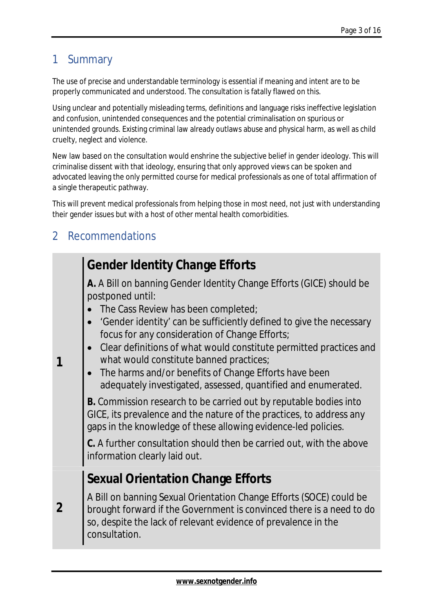### 1 Summary

The use of precise and understandable terminology is essential if meaning and intent are to be properly communicated and understood. The consultation is fatally flawed on this.

Using unclear and potentially misleading terms, definitions and language risks ineffective legislation and confusion, unintended consequences and the potential criminalisation on spurious or unintended grounds. Existing criminal law already outlaws abuse and physical harm, as well as child cruelty, neglect and violence.

New law based on the consultation would enshrine the subjective belief in gender ideology. This will criminalise dissent with that ideology, ensuring that only approved views can be spoken and advocated leaving the only permitted course for medical professionals as one of total affirmation of a single therapeutic pathway.

This will prevent medical professionals from helping those in most need, not just with understanding their gender issues but with a host of other mental health comorbidities.

### 2 Recommendations

| <b>Gender Identity Change Efforts</b><br>A. A Bill on banning Gender Identity Change Efforts (GICE) should be<br>postponed until:<br>The Cass Review has been completed;<br>'Gender identity' can be sufficiently defined to give the necessary<br>focus for any consideration of Change Efforts;<br>Clear definitions of what would constitute permitted practices and<br>what would constitute banned practices;<br>1<br>The harms and/or benefits of Change Efforts have been<br>adequately investigated, assessed, quantified and enumerated.<br>B. Commission research to be carried out by reputable bodies into<br>GICE, its prevalence and the nature of the practices, to address any<br>gaps in the knowledge of these allowing evidence-led policies.<br>C. A further consultation should then be carried out, with the above<br>information clearly laid out.<br><b>Sexual Orientation Change Efforts</b><br>A Bill on banning Sexual Orientation Change Efforts (SOCE) could be<br>2<br>brought forward if the Government is convinced there is a need to do<br>so, despite the lack of relevant evidence of prevalence in the<br>consultation. |  |
|--------------------------------------------------------------------------------------------------------------------------------------------------------------------------------------------------------------------------------------------------------------------------------------------------------------------------------------------------------------------------------------------------------------------------------------------------------------------------------------------------------------------------------------------------------------------------------------------------------------------------------------------------------------------------------------------------------------------------------------------------------------------------------------------------------------------------------------------------------------------------------------------------------------------------------------------------------------------------------------------------------------------------------------------------------------------------------------------------------------------------------------------------------------|--|
|                                                                                                                                                                                                                                                                                                                                                                                                                                                                                                                                                                                                                                                                                                                                                                                                                                                                                                                                                                                                                                                                                                                                                              |  |
|                                                                                                                                                                                                                                                                                                                                                                                                                                                                                                                                                                                                                                                                                                                                                                                                                                                                                                                                                                                                                                                                                                                                                              |  |
|                                                                                                                                                                                                                                                                                                                                                                                                                                                                                                                                                                                                                                                                                                                                                                                                                                                                                                                                                                                                                                                                                                                                                              |  |
|                                                                                                                                                                                                                                                                                                                                                                                                                                                                                                                                                                                                                                                                                                                                                                                                                                                                                                                                                                                                                                                                                                                                                              |  |
|                                                                                                                                                                                                                                                                                                                                                                                                                                                                                                                                                                                                                                                                                                                                                                                                                                                                                                                                                                                                                                                                                                                                                              |  |
|                                                                                                                                                                                                                                                                                                                                                                                                                                                                                                                                                                                                                                                                                                                                                                                                                                                                                                                                                                                                                                                                                                                                                              |  |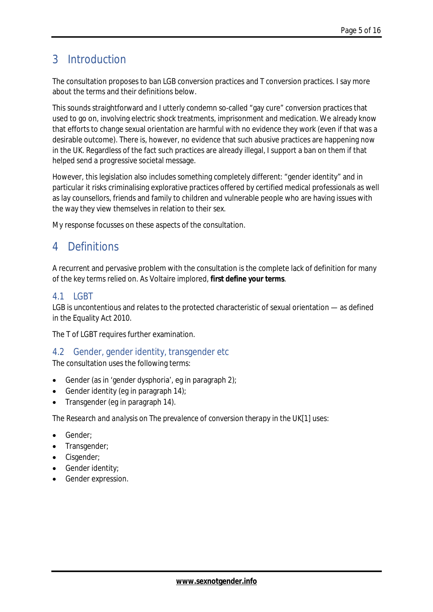### 3 Introduction

The consultation proposes to ban LGB conversion practices and T conversion practices. I say more about the terms and their definitions below.

This sounds straightforward and I utterly condemn so-called "gay cure" conversion practices that used to go on, involving electric shock treatments, imprisonment and medication. We already know that efforts to change sexual orientation are harmful with no evidence they work (even if that was a desirable outcome). There is, however, no evidence that such abusive practices are happening now in the UK. Regardless of the fact such practices are already illegal, I support a ban on them if that helped send a progressive societal message.

However, this legislation also includes something completely different: "gender identity" and in particular it risks criminalising explorative practices offered by certified medical professionals as well as lay counsellors, friends and family to children and vulnerable people who are having issues with the way they view themselves in relation to their sex.

My response focusses on these aspects of the consultation.

### 4 Definitions

A recurrent and pervasive problem with the consultation is the complete lack of definition for many of the key terms relied on. As Voltaire implored, *first define your terms*.

#### 4.1 LGBT

LGB is uncontentious and relates to the protected characteristic of sexual orientation — as defined in the Equality Act 2010.

The T of LGBT requires further examination.

### 4.2 Gender, gender identity, transgender etc

The consultation uses the following terms:

- Gender (as in 'gender dysphoria', eg in paragraph 2);
- Gender identity (eg in paragraph 14);
- Transgender (eg in paragraph 14).

The *Research and analysis on The prevalence of conversion therapy in the UK*[1] uses:

- Gender;
- Transgender;
- Cisgender;
- Gender identity;
- Gender expression.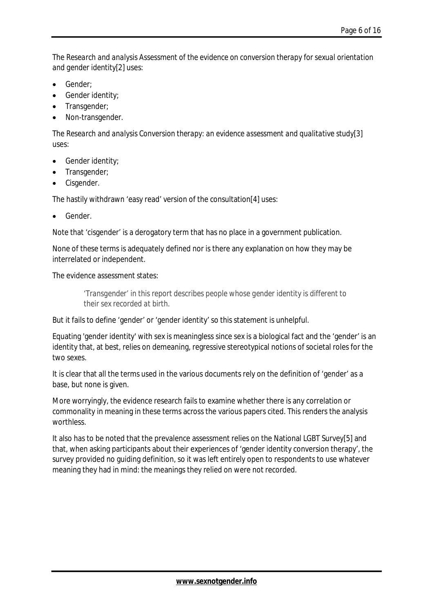The *Research and analysis Assessment of the evidence on conversion therapy for sexual orientation and gender identity*[2] uses:

- Gender;
- Gender identity;
- Transgender;
- Non-transgender.

The *Research and analysis Conversion therapy: an evidence assessment and qualitative study*[3] uses:

- Gender identity;
- Transgender;
- Cisgender.

The hastily withdrawn 'easy read' version of the consultation[4] uses:

Gender.

Note that 'cisgender' is a derogatory term that has no place in a government publication.

None of these terms is adequately defined nor is there any explanation on how they may be interrelated or independent.

#### The evidence assessment states:

*'Transgender' in this report describes people whose gender identity is different to their sex recorded at birth.* 

But it fails to define 'gender' or 'gender identity' so this statement is unhelpful.

Equating 'gender identity' with sex is meaningless since sex is a biological fact and the 'gender' is an identity that, at best, relies on demeaning, regressive stereotypical notions of societal roles for the two sexes.

It is clear that all the terms used in the various documents rely on the definition of 'gender' as a base, but none is given.

More worryingly, the evidence research fails to examine whether there is any correlation or commonality in meaning in these terms across the various papers cited. This renders the analysis worthless.

It also has to be noted that the prevalence assessment relies on the National LGBT Survey[5] and that, when asking participants about their experiences of 'gender identity conversion therapy', the survey provided no guiding definition, so it was left entirely open to respondents to use whatever meaning they had in mind: the meanings they relied on were not recorded.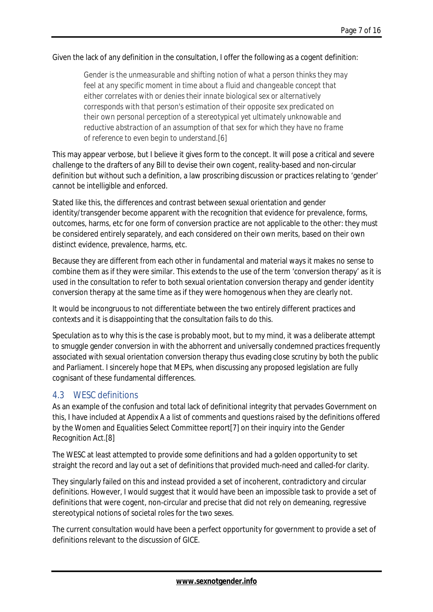#### Given the lack of any definition in the consultation, I offer the following as a cogent definition:

*Gender is the unmeasurable and shifting notion of what a person thinks they may feel at any specific moment in time about a fluid and changeable concept that either correlates with or denies their innate biological sex or alternatively corresponds with that person's estimation of their opposite sex predicated on their own personal perception of a stereotypical yet ultimately unknowable and reductive abstraction of an assumption of that sex for which they have no frame of reference to even begin to understand.[6]* 

This may appear verbose, but I believe it gives form to the concept. It will pose a critical and severe challenge to the drafters of any Bill to devise their own cogent, reality-based and non-circular definition but without such a definition, a law proscribing discussion or practices relating to 'gender' cannot be intelligible and enforced.

Stated like this, the differences and contrast between sexual orientation and gender identity/transgender become apparent with the recognition that evidence for prevalence, forms, outcomes, harms, etc for one form of conversion practice are not applicable to the other: they must be considered entirely separately, and each considered on their own merits, based on their own distinct evidence, prevalence, harms, etc.

Because they are different from each other in fundamental and material ways it makes no sense to combine them as if they were similar. This extends to the use of the term 'conversion therapy' as it is used in the consultation to refer to *both* sexual orientation conversion therapy *and* gender identity conversion therapy at the same time as if they were homogenous when they are clearly not.

It would be incongruous to not differentiate between the two entirely different practices and contexts and it is disappointing that the consultation fails to do this.

Speculation as to why this is the case is probably moot, but to my mind, it was a deliberate attempt to smuggle gender conversion in with the abhorrent and universally condemned practices frequently associated with sexual orientation conversion therapy thus evading close scrutiny by both the public and Parliament. I sincerely hope that MEPs, when discussing any proposed legislation are fully cognisant of these fundamental differences.

### 4.3 WESC definitions

As an example of the confusion and total lack of definitional integrity that pervades Government on this, I have included at Appendix A a list of comments and questions raised by the definitions offered by the Women and Equalities Select Committee report[7] on their inquiry into the Gender Recognition Act.[8]

The WESC at least attempted to provide some definitions and had a golden opportunity to set straight the record and lay out a set of definitions that provided much-need and called-for clarity.

They singularly failed on this and instead provided a set of incoherent, contradictory and circular definitions. However, I would suggest that it would have been an impossible task to provide a set of definitions that were cogent, non-circular and precise that did not rely on demeaning, regressive stereotypical notions of societal roles for the two sexes.

The current consultation would have been a perfect opportunity for government to provide a set of definitions relevant to the discussion of GICE.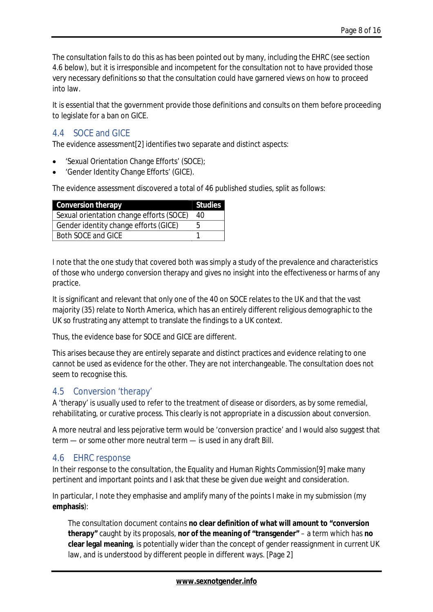The consultation fails to do this as has been pointed out by many, including the EHRC (see section 4.6 below), but it is irresponsible and incompetent for the consultation not to have provided those very necessary definitions so that the consultation could have garnered views on how to proceed into law.

It is essential that the government provide those definitions and consults on them before proceeding to legislate for a ban on GICE.

### 4.4 SOCE and GICE

The evidence assessment[2] identifies two separate and distinct aspects:

- 'Sexual Orientation Change Efforts' (SOCE);
- 'Gender Identity Change Efforts' (GICE).

The evidence assessment discovered a total of 46 published studies, split as follows:

| <b>Conversion therapy</b>                       | <b>Studies</b> |
|-------------------------------------------------|----------------|
| <b>Sexual orientation change efforts (SOCE)</b> | 40             |
| <b>Gender identity change efforts (GICE)</b>    |                |
| <b>Both SOCE and GICE</b>                       |                |

I note that the one study that covered both was simply a study of the prevalence and characteristics of those who undergo conversion therapy and gives no insight into the effectiveness or harms of any practice.

It is significant and relevant that only one of the 40 on SOCE relates to the UK and that the vast majority (35) relate to North America, which has an entirely different religious demographic to the UK so frustrating any attempt to translate the findings to a UK context.

Thus, the evidence base for SOCE and GICE are different.

This arises because they are entirely separate and distinct practices and evidence relating to one cannot be used as evidence for the other. They are not interchangeable. The consultation does not seem to recognise this.

### 4.5 Conversion 'therapy'

A 'therapy' is usually used to refer to the treatment of disease or disorders, as by some remedial, rehabilitating, or curative process. This clearly is not appropriate in a discussion about conversion.

A more neutral and less pejorative term would be 'conversion practice' and I would also suggest that term — or some other more neutral term — is used in any draft Bill.

### 4.6 EHRC response

In their response to the consultation, the Equality and Human Rights Commission[9] make many pertinent and important points and I ask that these be given due weight and consideration.

In particular, I note they emphasise and amplify many of the points I make in my submission (my **emphasis**):

The consultation document contains **no clear definition of what will amount to "conversion therapy"** caught by its proposals, **nor of the meaning of "transgender"** – a term which has **no clear legal meaning**, is potentially wider than the concept of gender reassignment in current UK law, and is understood by different people in different ways. [Page 2]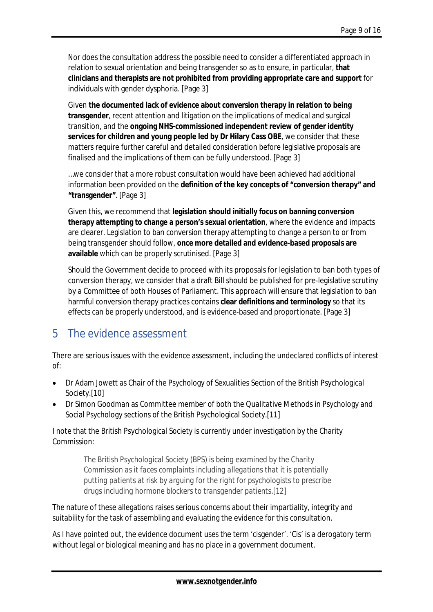Nor does the consultation address the possible need to consider a differentiated approach in relation to sexual orientation and being transgender so as to ensure, in particular, **that clinicians and therapists are not prohibited from providing appropriate care and support** for individuals with gender dysphoria. [Page 3]

Given **the documented lack of evidence about conversion therapy in relation to being transgender**, recent attention and litigation on the implications of medical and surgical transition, and the **ongoing NHS-commissioned independent review of gender identity services for children and young people led by Dr Hilary Cass OBE**, we consider that these matters require further careful and detailed consideration before legislative proposals are finalised and the implications of them can be fully understood. [Page 3]

…we consider that a more robust consultation would have been achieved had additional information been provided on the **definition of the key concepts of "conversion therapy" and "transgender"**. [Page 3]

Given this, we recommend that **legislation should initially focus on banning conversion therapy attempting to change a person's sexual orientation**, where the evidence and impacts are clearer. Legislation to ban conversion therapy attempting to change a person to or from being transgender should follow, **once more detailed and evidence-based proposals are available** which can be properly scrutinised. [Page 3]

Should the Government decide to proceed with its proposals for legislation to ban both types of conversion therapy, we consider that a draft Bill should be published for pre-legislative scrutiny by a Committee of both Houses of Parliament. This approach will ensure that legislation to ban harmful conversion therapy practices contains **clear definitions and terminology** so that its effects can be properly understood, and is evidence-based and proportionate. [Page 3]

### 5 The evidence assessment

There are serious issues with the evidence assessment, including the undeclared conflicts of interest of:

- Dr Adam Jowett as Chair of the Psychology of Sexualities Section of the British Psychological Society.[10]
- Dr Simon Goodman as Committee member of both the Qualitative Methods in Psychology and Social Psychology sections of the British Psychological Society.[11]

I note that the British Psychological Society is currently under investigation by the Charity Commission:

> *The British Psychological Society (BPS) is being examined by the Charity Commission as it faces complaints including allegations that it is potentially putting patients at risk by arguing for the right for psychologists to prescribe drugs including hormone blockers to transgender patients.[12]*

The nature of these allegations raises serious concerns about their impartiality, integrity and suitability for the task of assembling and evaluating the evidence for this consultation.

As I have pointed out, the evidence document uses the term 'cisgender'. 'Cis' is a derogatory term without legal or biological meaning and has no place in a government document.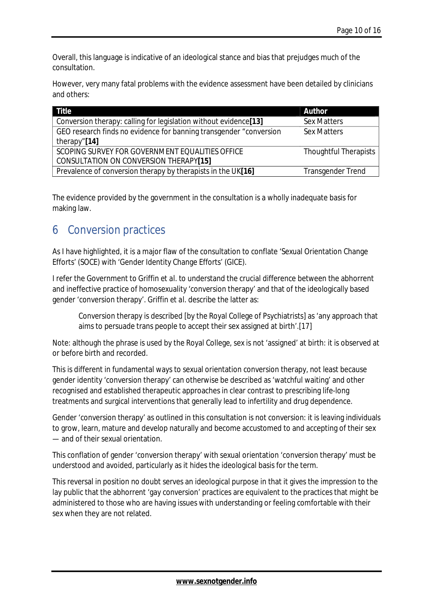Overall, this language is indicative of an ideological stance and bias that prejudges much of the consultation.

However, very many fatal problems with the evidence assessment have been detailed by clinicians and others:

| <b>Title</b>                                                       | <b>Author</b>                |
|--------------------------------------------------------------------|------------------------------|
| Conversion therapy: calling for legislation without evidence[13]   | <b>Sex Matters</b>           |
| GEO research finds no evidence for banning transgender "conversion | <b>Sex Matters</b>           |
| therapy"[14]                                                       |                              |
| <b>SCOPING SURVEY FOR GOVERNMENT EQUALITIES OFFICE</b>             | <b>Thoughtful Therapists</b> |
| <b>CONSULTATION ON CONVERSION THERAPY[15]</b>                      |                              |
| Prevalence of conversion therapy by therapists in the UK[16]       | <b>Transgender Trend</b>     |

The evidence provided by the government in the consultation is a wholly inadequate basis for making law.

### 6 Conversion practices

As I have highlighted, it is a major flaw of the consultation to conflate 'Sexual Orientation Change Efforts' (SOCE) with 'Gender Identity Change Efforts' (GICE).

I refer the Government to Griffin *et al*. to understand the crucial difference between the abhorrent and ineffective practice of homosexuality 'conversion therapy' and that of the ideologically based gender 'conversion therapy'. Griffin *et al*. describe the latter as:

Conversion therapy is described [by the Royal College of Psychiatrists] as 'any approach that aims to persuade trans people to accept their sex assigned at birth'.[17]

Note: although the phrase is used by the Royal College, sex is not 'assigned' at birth: it is observed at or before birth and recorded.

This is different in fundamental ways to sexual orientation conversion therapy, not least because gender identity 'conversion therapy' can otherwise be described as 'watchful waiting' and other recognised and established therapeutic approaches in clear contrast to prescribing life-long treatments and surgical interventions that generally lead to infertility and drug dependence.

Gender 'conversion therapy' as outlined in this consultation is not conversion: it is leaving individuals to grow, learn, mature and develop naturally and become accustomed to and accepting of their sex — and of their sexual orientation.

This conflation of gender 'conversion therapy' with sexual orientation 'conversion therapy' must be understood and avoided, particularly as it hides the ideological basis for the term.

This reversal in position no doubt serves an ideological purpose in that it gives the impression to the lay public that the abhorrent 'gay conversion' practices are equivalent to the practices that might be administered to those who are having issues with understanding or feeling comfortable with their sex when they are not related.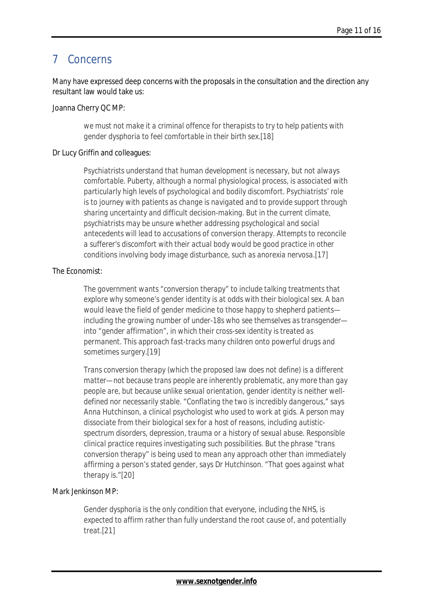### 7 Concerns

Many have expressed deep concerns with the proposals in the consultation and the direction any resultant law would take us:

#### Joanna Cherry QC MP:

*we must not make it a criminal offence for therapists to try to help patients with gender dysphoria to feel comfortable in their birth sex.[18]* 

#### Dr Lucy Griffin and colleagues:

*Psychiatrists understand that human development is necessary, but not always comfortable. Puberty, although a normal physiological process, is associated with particularly high levels of psychological and bodily discomfort. Psychiatrists' role is to journey with patients as change is navigated and to provide support through sharing uncertainty and difficult decision-making. But in the current climate, psychiatrists may be unsure whether addressing psychological and social antecedents will lead to accusations of conversion therapy. Attempts to reconcile a sufferer's discomfort with their actual body would be good practice in other conditions involving body image disturbance, such as anorexia nervosa.[17]* 

#### The Economist:

*The government wants "conversion therapy" to include talking treatments that explore why someone's gender identity is at odds with their biological sex. A ban would leave the field of gender medicine to those happy to shepherd patients including the growing number of under-18s who see themselves as transgender into "gender affirmation", in which their cross-sex identity is treated as permanent. This approach fast-tracks many children onto powerful drugs and sometimes surgery.[19]* 

*Trans conversion therapy (which the proposed law does not define) is a different matter—not because trans people are inherently problematic, any more than gay people are, but because unlike sexual orientation, gender identity is neither welldefined nor necessarily stable. "Conflating the two is incredibly dangerous," says Anna Hutchinson, a clinical psychologist who used to work at gids. A person may dissociate from their biological sex for a host of reasons, including autisticspectrum disorders, depression, trauma or a history of sexual abuse. Responsible clinical practice requires investigating such possibilities. But the phrase "trans conversion therapy" is being used to mean any approach other than immediately affirming a person's stated gender, says Dr Hutchinson. "That goes against what therapy is."[20]* 

#### Mark Jenkinson MP:

*Gender dysphoria is the only condition that everyone, including the NHS, is expected to affirm rather than fully understand the root cause of, and potentially treat.[21]*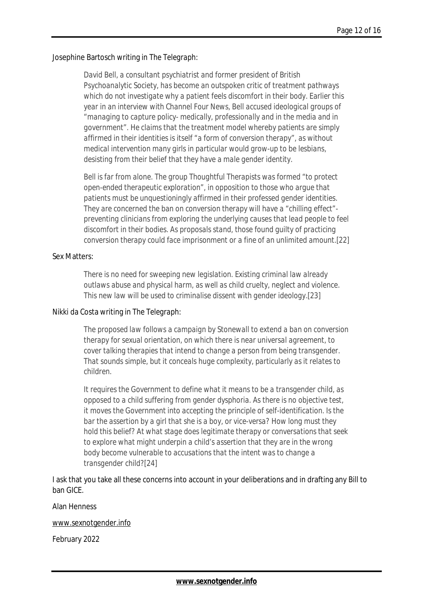#### Josephine Bartosch writing in *The Telegraph*:

*David Bell, a consultant psychiatrist and former president of British Psychoanalytic Society, has become an outspoken critic of treatment pathways which do not investigate why a patient feels discomfort in their body. Earlier this year in an interview with Channel Four News, Bell accused ideological groups of "managing to capture policy- medically, professionally and in the media and in government". He claims that the treatment model whereby patients are simply affirmed in their identities is itself "a form of conversion therapy", as without medical intervention many girls in particular would grow-up to be lesbians, desisting from their belief that they have a male gender identity.* 

*Bell is far from alone. The group Thoughtful Therapists was formed "to protect open-ended therapeutic exploration", in opposition to those who argue that patients must be unquestioningly affirmed in their professed gender identities. They are concerned the ban on conversion therapy will have a "chilling effect" preventing clinicians from exploring the underlying causes that lead people to feel discomfort in their bodies. As proposals stand, those found guilty of practicing conversion therapy could face imprisonment or a fine of an unlimited amount.[22]* 

#### Sex Matters:

*There is no need for sweeping new legislation. Existing criminal law already outlaws abuse and physical harm, as well as child cruelty, neglect and violence. This new law will be used to criminalise dissent with gender ideology.[23]* 

#### Nikki da Costa writing in *The Telegraph*:

*The proposed law follows a campaign by Stonewall to extend a ban on conversion therapy for sexual orientation, on which there is near universal agreement, to cover talking therapies that intend to change a person from being transgender. That sounds simple, but it conceals huge complexity, particularly as it relates to children.* 

*It requires the Government to define what it means to be a transgender child, as opposed to a child suffering from gender dysphoria. As there is no objective test, it moves the Government into accepting the principle of self-identification. Is the bar the assertion by a girl that she is a boy, or vice-versa? How long must they hold this belief? At what stage does legitimate therapy or conversations that seek to explore what might underpin a child's assertion that they are in the wrong body become vulnerable to accusations that the intent was to change a transgender child?[24]* 

I ask that you take all these concerns into account in your deliberations and in drafting any Bill to ban GICE.

Alan Henness

[www.sexnotgender.info](http://www.sexnotgender.info) 

February 2022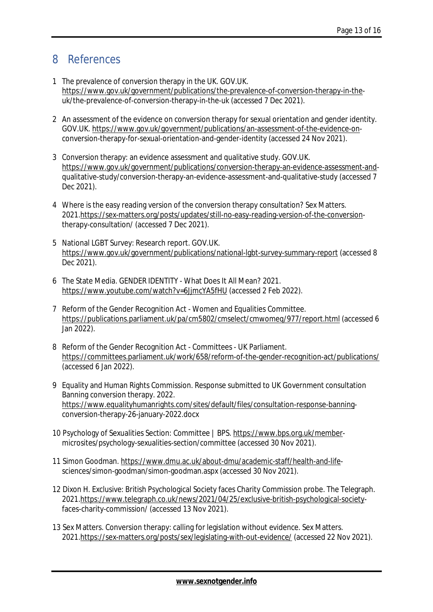### 8 References

- 1 The prevalence of conversion therapy in the UK. GOV.UK. <https://www.gov.uk/government/publications/the-prevalence-of-conversion-therapy-in-the>uk/the-prevalence-of-conversion-therapy-in-the-uk (accessed 7 Dec 2021).
- 2 An assessment of the evidence on conversion therapy for sexual orientation and gender identity. GOV.UK. <https://www.gov.uk/government/publications/an-assessment-of-the-evidence-on>conversion-therapy-for-sexual-orientation-and-gender-identity (accessed 24 Nov 2021).
- 3 Conversion therapy: an evidence assessment and qualitative study. GOV.UK. <https://www.gov.uk/government/publications/conversion-therapy-an-evidence-assessment-and>qualitative-study/conversion-therapy-an-evidence-assessment-and-qualitative-study (accessed 7 Dec 2021).
- 4 Where is the easy reading version of the conversion therapy consultation? Sex Matters. 2021[.https://sex-matters.org/posts/updates/still-no-easy-reading-version-of-the-conversion](https://sex-matters.org/posts/updates/still-no-easy-reading-version-of-the-conversion)therapy-consultation/ (accessed 7 Dec 2021).
- 5 National LGBT Survey: Research report. GOV.UK. <https://www.gov.uk/government/publications/national-lgbt-survey-summary-report> (accessed 8 Dec 2021).
- 6 The State Media. GENDER IDENTITY What Does It All Mean? 2021. <https://www.youtube.com/watch?v=6JjmcYA5fHU> (accessed 2 Feb 2022).
- 7 Reform of the Gender Recognition Act Women and Equalities Committee. <https://publications.parliament.uk/pa/cm5802/cmselect/cmwomeq/977/report.html> (accessed 6 Jan 2022).
- 8 Reform of the Gender Recognition Act Committees UK Parliament. <https://committees.parliament.uk/work/658/reform-of-the-gender-recognition-act/publications/> (accessed 6 Jan 2022).
- 9 Equality and Human Rights Commission. Response submitted to UK Government consultation Banning conversion therapy. 2022. <https://www.equalityhumanrights.com/sites/default/files/consultation-response-banning>conversion-therapy-26-january-2022.docx
- 10 Psychology of Sexualities Section: Committee | BPS.<https://www.bps.org.uk/member>microsites/psychology-sexualities-section/committee (accessed 30 Nov 2021).
- 11 Simon Goodman.<https://www.dmu.ac.uk/about-dmu/academic-staff/health-and-life>sciences/simon-goodman/simon-goodman.aspx (accessed 30 Nov 2021).
- 12 Dixon H. Exclusive: British Psychological Society faces Charity Commission probe. The Telegraph. 2021[.https://www.telegraph.co.uk/news/2021/04/25/exclusive-british-psychological-society](https://www.telegraph.co.uk/news/2021/04/25/exclusive-british-psychological-society)faces-charity-commission/ (accessed 13 Nov 2021).
- 13 Sex Matters. Conversion therapy: calling for legislation without evidence. Sex Matters. 2021[.https://sex-matters.org/posts/sex/legislating-with-out-evidence/](https://sex-matters.org/posts/sex/legislating-with-out-evidence/) (accessed 22 Nov 2021).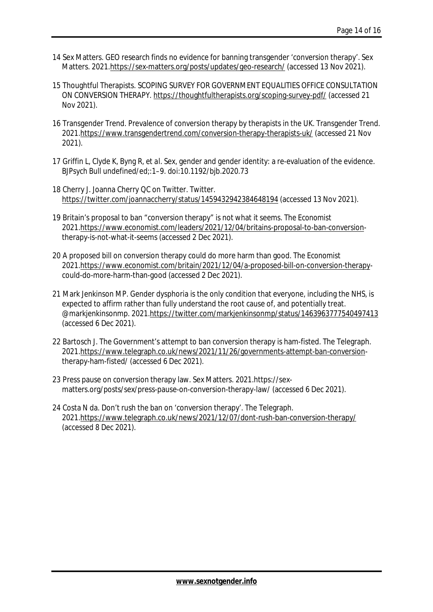- 14 Sex Matters. GEO research finds no evidence for banning transgender 'conversion therapy'. Sex Matters. 2021[.https://sex-matters.org/posts/updates/geo-research/](https://sex-matters.org/posts/updates/geo-research/) (accessed 13 Nov 2021).
- 15 Thoughtful Therapists. SCOPING SURVEY FOR GOVERNMENT EQUALITIES OFFICE CONSULTATION ON CONVERSION THERAPY. <https://thoughtfultherapists.org/scoping-survey-pdf/>(accessed 21 Nov 2021).
- 16 Transgender Trend. Prevalence of conversion therapy by therapists in the UK. Transgender Trend. 2021[.https://www.transgendertrend.com/conversion-therapy-therapists-uk/](https://www.transgendertrend.com/conversion-therapy-therapists-uk/) (accessed 21 Nov 2021).
- 17 Griffin L, Clyde K, Byng R, *et al.* Sex, gender and gender identity: a re-evaluation of the evidence. *BJPsych Bull* undefined/ed;:1–9. doi:10.1192/bjb.2020.73
- 18 Cherry J. Joanna Cherry QC on Twitter. Twitter. <https://twitter.com/joannaccherry/status/1459432942384648194> (accessed 13 Nov 2021).
- 19 Britain's proposal to ban "conversion therapy" is not what it seems. *The Economist* 2021[.https://www.economist.com/leaders/2021/12/04/britains-proposal-to-ban-conversion](https://www.economist.com/leaders/2021/12/04/britains-proposal-to-ban-conversion)therapy-is-not-what-it-seems (accessed 2 Dec 2021).
- 20 A proposed bill on conversion therapy could do more harm than good. *The Economist* 2021[.https://www.economist.com/britain/2021/12/04/a-proposed-bill-on-conversion-therapy](https://www.economist.com/britain/2021/12/04/a-proposed-bill-on-conversion-therapy)could-do-more-harm-than-good (accessed 2 Dec 2021).
- 21 Mark Jenkinson MP. Gender dysphoria is the only condition that everyone, including the NHS, is expected to affirm rather than fully understand the root cause of, and potentially treat. @markjenkinsonmp. 2021[.https://twitter.com/markjenkinsonmp/status/1463963777540497413](https://twitter.com/markjenkinsonmp/status/1463963777540497413)  (accessed 6 Dec 2021).
- 22 Bartosch J. The Government's attempt to ban conversion therapy is ham-fisted. The Telegraph. 2021[.https://www.telegraph.co.uk/news/2021/11/26/governments-attempt-ban-conversion](https://www.telegraph.co.uk/news/2021/11/26/governments-attempt-ban-conversion)therapy-ham-fisted/ (accessed 6 Dec 2021).
- 23 Press pause on conversion therapy law. Sex Matters. 2021.https://sexmatters.org/posts/sex/press-pause-on-conversion-therapy-law/ (accessed 6 Dec 2021).
- 24 Costa N da. Don't rush the ban on 'conversion therapy'. The Telegraph. 2021[.https://www.telegraph.co.uk/news/2021/12/07/dont-rush-ban-conversion-therapy/](https://www.telegraph.co.uk/news/2021/12/07/dont-rush-ban-conversion-therapy/) (accessed 8 Dec 2021).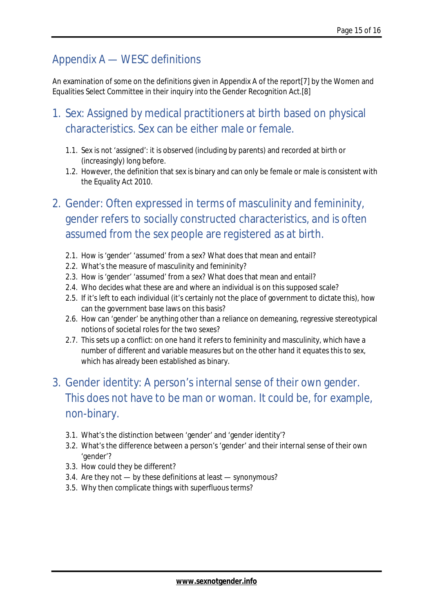### Appendix A — WESC definitions

An examination of some on the definitions given in Appendix A of the report[7] by the Women and Equalities Select Committee in their inquiry into the Gender Recognition Act.[8]

- 1. Sex: Assigned by medical practitioners at birth based on physical characteristics. Sex can be either male or female.
	- 1.1. Sex is not 'assigned': it is observed (including by parents) and recorded at birth or (increasingly) long before.
	- 1.2. However, the definition that sex is binary and can only be female or male is consistent with the Equality Act 2010.

# 2. Gender: Often expressed in terms of masculinity and femininity, gender refers to socially constructed characteristics, and is often assumed from the sex people are registered as at birth.

- 2.1. How is 'gender' 'assumed' from a sex? What does that mean and entail?
- 2.2. What's the measure of masculinity and femininity?
- 2.3. How is 'gender' 'assumed' from a sex? What does that mean and entail?
- 2.4. Who decides what these are and where an individual is on this supposed scale?
- 2.5. If it's left to each individual (it's certainly not the place of government to dictate this), how can the government base laws on this basis?
- 2.6. How can 'gender' be anything other than a reliance on demeaning, regressive stereotypical notions of societal roles for the two sexes?
- 2.7. This sets up a conflict: on one hand it refers to femininity and masculinity, which have a number of different and variable measures but on the other hand it equates this to sex, which has already been established as binary.

## 3. Gender identity: A person's internal sense of their own gender. This does not have to be man or woman. It could be, for example, non-binary.

- 3.1. What's the distinction between 'gender' and 'gender identity'?
- 3.2. What's the difference between a person's 'gender' and their internal sense of their own 'gender'?
- 3.3. How could they be different?
- 3.4. Are they not by these definitions at least synonymous?
- 3.5. Why then complicate things with superfluous terms?